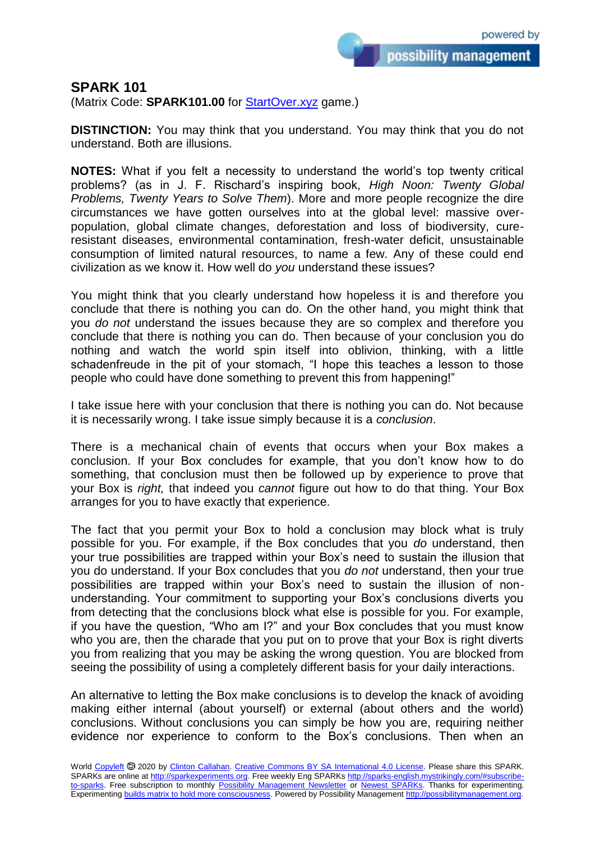possibility management

## **SPARK 101**

(Matrix Code: **SPARK101.00** for **StartOver.xyz** game.)

**DISTINCTION:** You may think that you understand. You may think that you do not understand. Both are illusions.

**NOTES:** What if you felt a necessity to understand the world's top twenty critical problems? (as in J. F. Rischard's inspiring book, *High Noon: Twenty Global Problems, Twenty Years to Solve Them*). More and more people recognize the dire circumstances we have gotten ourselves into at the global level: massive overpopulation, global climate changes, deforestation and loss of biodiversity, cureresistant diseases, environmental contamination, fresh-water deficit, unsustainable consumption of limited natural resources, to name a few. Any of these could end civilization as we know it. How well do *you* understand these issues?

You might think that you clearly understand how hopeless it is and therefore you conclude that there is nothing you can do. On the other hand, you might think that you *do not* understand the issues because they are so complex and therefore you conclude that there is nothing you can do. Then because of your conclusion you do nothing and watch the world spin itself into oblivion, thinking, with a little schadenfreude in the pit of your stomach, "I hope this teaches a lesson to those people who could have done something to prevent this from happening!"

I take issue here with your conclusion that there is nothing you can do. Not because it is necessarily wrong. I take issue simply because it is a *conclusion*.

There is a mechanical chain of events that occurs when your Box makes a conclusion. If your Box concludes for example, that you don't know how to do something, that conclusion must then be followed up by experience to prove that your Box is *right,* that indeed you *cannot* figure out how to do that thing. Your Box arranges for you to have exactly that experience.

The fact that you permit your Box to hold a conclusion may block what is truly possible for you. For example, if the Box concludes that you *do* understand, then your true possibilities are trapped within your Box's need to sustain the illusion that you do understand. If your Box concludes that you *do not* understand, then your true possibilities are trapped within your Box's need to sustain the illusion of nonunderstanding. Your commitment to supporting your Box's conclusions diverts you from detecting that the conclusions block what else is possible for you. For example, if you have the question, "Who am I?" and your Box concludes that you must know who you are, then the charade that you put on to prove that your Box is right diverts you from realizing that you may be asking the wrong question. You are blocked from seeing the possibility of using a completely different basis for your daily interactions.

An alternative to letting the Box make conclusions is to develop the knack of avoiding making either internal (about yourself) or external (about others and the world) conclusions. Without conclusions you can simply be how you are, requiring neither evidence nor experience to conform to the Box's conclusions. Then when an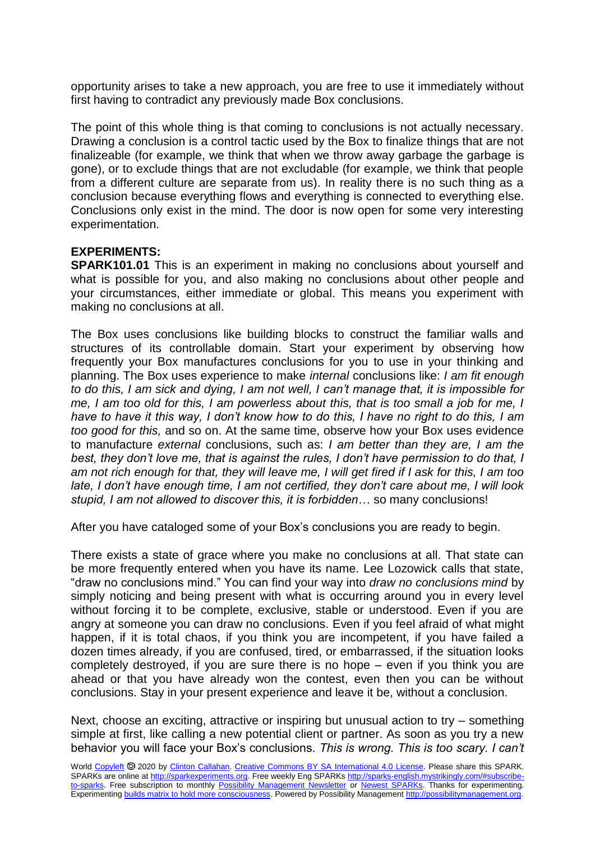opportunity arises to take a new approach, you are free to use it immediately without first having to contradict any previously made Box conclusions.

The point of this whole thing is that coming to conclusions is not actually necessary. Drawing a conclusion is a control tactic used by the Box to finalize things that are not finalizeable (for example, we think that when we throw away garbage the garbage is gone), or to exclude things that are not excludable (for example, we think that people from a different culture are separate from us). In reality there is no such thing as a conclusion because everything flows and everything is connected to everything else. Conclusions only exist in the mind. The door is now open for some very interesting experimentation.

## **EXPERIMENTS:**

**SPARK101.01** This is an experiment in making no conclusions about yourself and what is possible for you, and also making no conclusions about other people and your circumstances, either immediate or global. This means you experiment with making no conclusions at all.

The Box uses conclusions like building blocks to construct the familiar walls and structures of its controllable domain. Start your experiment by observing how frequently your Box manufactures conclusions for you to use in your thinking and planning. The Box uses experience to make *internal* conclusions like: *I am fit enough to do this, I am sick and dying, I am not well, I can't manage that, it is impossible for me, I am too old for this, I am powerless about this, that is too small a job for me, I have to have it this way, I don't know how to do this, I have no right to do this, I am too good for this,* and so on. At the same time, observe how your Box uses evidence to manufacture *external* conclusions, such as: *I am better than they are, I am the best, they don't love me, that is against the rules, I don't have permission to do that, I am not rich enough for that, they will leave me, I will get fired if I ask for this, I am too late, I don't have enough time, I am not certified, they don't care about me, I will look stupid, I am not allowed to discover this, it is forbidden…* so many conclusions!

After you have cataloged some of your Box's conclusions you are ready to begin.

There exists a state of grace where you make no conclusions at all. That state can be more frequently entered when you have its name. Lee Lozowick calls that state, "draw no conclusions mind." You can find your way into *draw no conclusions mind* by simply noticing and being present with what is occurring around you in every level without forcing it to be complete, exclusive, stable or understood. Even if you are angry at someone you can draw no conclusions. Even if you feel afraid of what might happen, if it is total chaos, if you think you are incompetent, if you have failed a dozen times already, if you are confused, tired, or embarrassed, if the situation looks completely destroyed, if you are sure there is no hope – even if you think you are ahead or that you have already won the contest, even then you can be without conclusions. Stay in your present experience and leave it be, without a conclusion.

Next, choose an exciting, attractive or inspiring but unusual action to try – something simple at first, like calling a new potential client or partner. As soon as you try a new behavior you will face your Box's conclusions. *This is wrong. This is too scary. I can't*